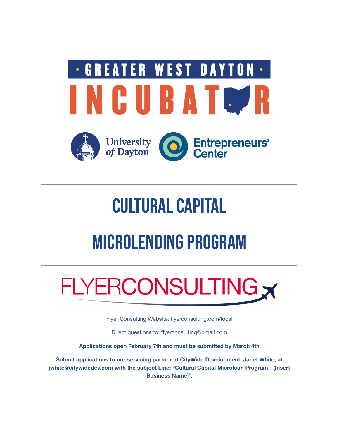

# **CULTURAL CAPITAL**

# MICROLENDING PROGRAM

# FLYERCONSULTING

Flyer Consulting Website: flyerconsulting.com/local

Direct questions to: flyerconsulting@gmail.com

**Applications open February 7th and must be submitted by March 4th**

**Submit applications to our servicing partner at CityWide Development, Janet White, at jwhite@citywidedev.com with the subject Line: "Cultural Capital Microloan Program - (Insert Business Name)".**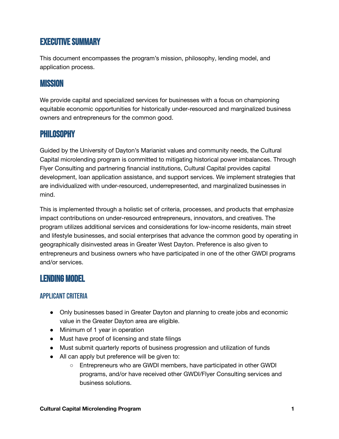# **EXECUTIVE SUMMARY**

This document encompasses the program's mission, philosophy, lending model, and application process.

## Mission

We provide capital and specialized services for businesses with a focus on championing equitable economic opportunities for historically under-resourced and marginalized business owners and entrepreneurs for the common good.

# Philosophy

Guided by the University of Dayton's Marianist values and community needs, the Cultural Capital microlending program is committed to mitigating historical power imbalances. Through Flyer Consulting and partnering financial institutions, Cultural Capital provides capital development, loan application assistance, and support services. We implement strategies that are individualized with under-resourced, underrepresented, and marginalized businesses in mind.

This is implemented through a holistic set of criteria, processes, and products that emphasize impact contributions on under-resourced entrepreneurs, innovators, and creatives. The program utilizes additional services and considerations for low-income residents, main street and lifestyle businesses, and social enterprises that advance the common good by operating in geographically disinvested areas in Greater West Dayton. Preference is also given to entrepreneurs and business owners who have participated in one of the other GWDI programs and/or services.

# Lending Model

#### APPLICANT CRITERIA

- Only businesses based in Greater Dayton and planning to create jobs and economic value in the Greater Dayton area are eligible.
- Minimum of 1 year in operation
- Must have proof of licensing and state filings
- Must submit quarterly reports of business progression and utilization of funds
- All can apply but preference will be given to:
	- Entrepreneurs who are GWDI members, have participated in other GWDI programs, and/or have received other GWDI/Flyer Consulting services and business solutions.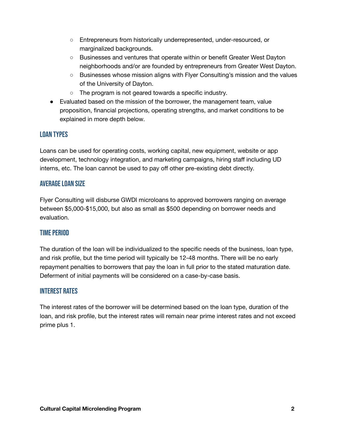- Entrepreneurs from historically underrepresented, under-resourced, or marginalized backgrounds.
- Businesses and ventures that operate within or benefit Greater West Dayton neighborhoods and/or are founded by entrepreneurs from Greater West Dayton.
- Businesses whose mission aligns with Flyer Consulting's mission and the values of the University of Dayton.
- The program is not geared towards a specific industry.
- Evaluated based on the mission of the borrower, the management team, value proposition, financial projections, operating strengths, and market conditions to be explained in more depth below.

#### Loan Types

Loans can be used for operating costs, working capital, new equipment, website or app development, technology integration, and marketing campaigns, hiring staff including UD interns, etc. The loan cannot be used to pay off other pre-existing debt directly.

#### **AVERAGE LOAN SIZE**

Flyer Consulting will disburse GWDI microloans to approved borrowers ranging on average between \$5,000-\$15,000, but also as small as \$500 depending on borrower needs and evaluation.

#### **TIME PERIOD**

The duration of the loan will be individualized to the specific needs of the business, loan type, and risk profile, but the time period will typically be 12-48 months. There will be no early repayment penalties to borrowers that pay the loan in full prior to the stated maturation date. Deferment of initial payments will be considered on a case-by-case basis.

#### Interest Rates

The interest rates of the borrower will be determined based on the loan type, duration of the loan, and risk profile, but the interest rates will remain near prime interest rates and not exceed prime plus 1.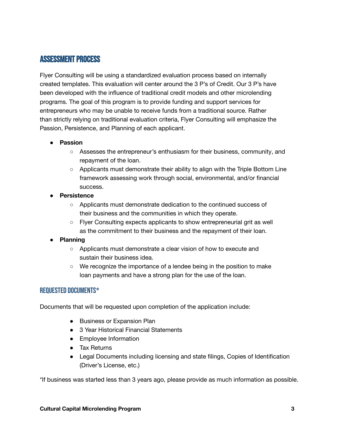### **ASSESSMENT PROCESS**

Flyer Consulting will be using a standardized evaluation process based on internally created templates. This evaluation will center around the 3 P's of Credit. Our 3 P's have been developed with the influence of traditional credit models and other microlending programs. The goal of this program is to provide funding and support services for entrepreneurs who may be unable to receive funds from a traditional source. Rather than strictly relying on traditional evaluation criteria, Flyer Consulting will emphasize the Passion, Persistence, and Planning of each applicant.

#### ● **Passion**

- Assesses the entrepreneur's enthusiasm for their business, community, and repayment of the loan.
- Applicants must demonstrate their ability to align with the Triple Bottom Line framework assessing work through social, environmental, and/or financial success.
- **Persistence**
	- Applicants must demonstrate dedication to the continued success of their business and the communities in which they operate.
	- Flyer Consulting expects applicants to show entrepreneurial grit as well as the commitment to their business and the repayment of their loan.

#### ● **Planning**

- Applicants must demonstrate a clear vision of how to execute and sustain their business idea.
- $\circ$  We recognize the importance of a lendee being in the position to make loan payments and have a strong plan for the use of the loan.

#### Requested Documents\*

Documents that will be requested upon completion of the application include:

- Business or Expansion Plan
- 3 Year Historical Financial Statements
- Employee Information
- Tax Returns
- Legal Documents including licensing and state filings, Copies of Identification (Driver's License, etc.)

\*If business was started less than 3 years ago, please provide as much information as possible.